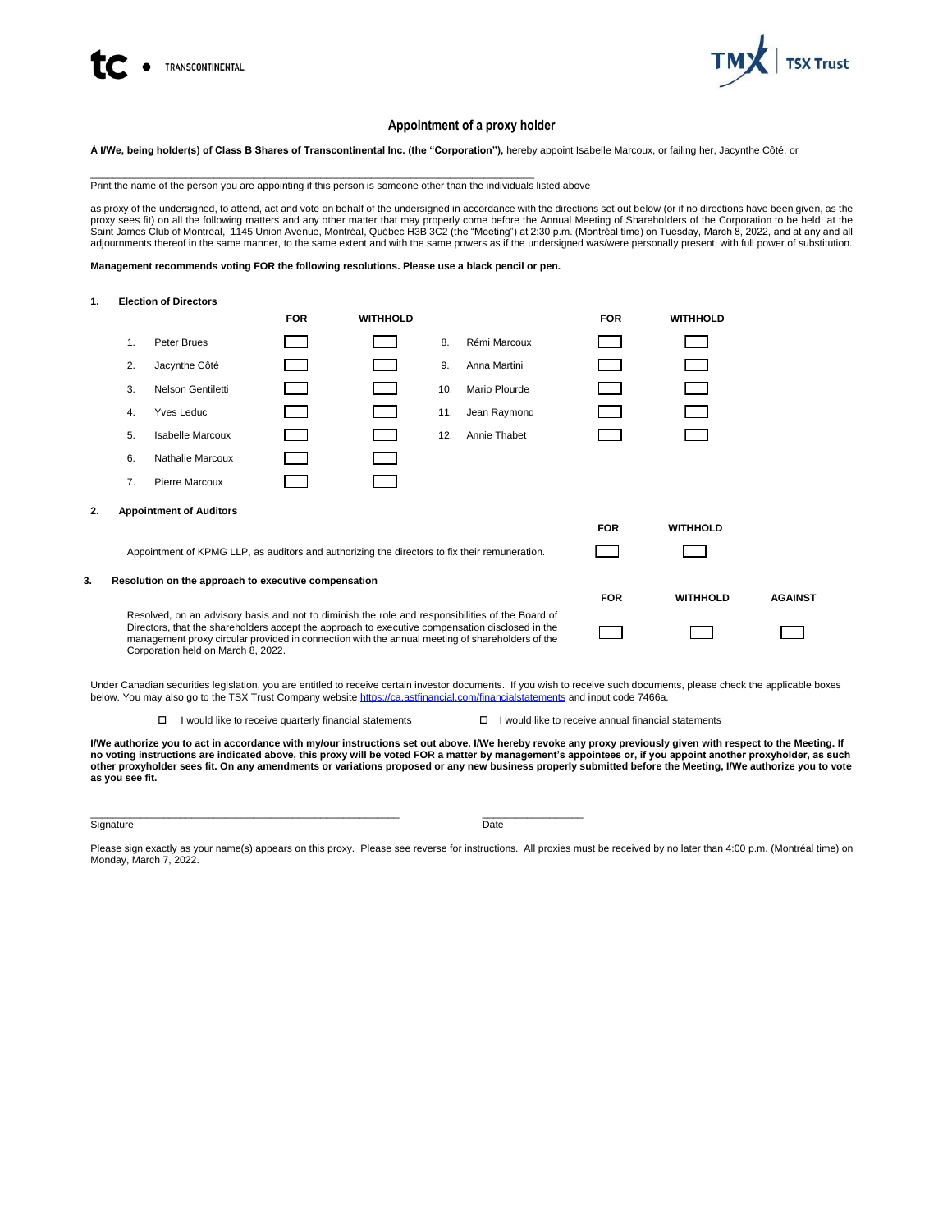



# **Appointment of a proxy holder**

**À I/We, being holder(s) of Class B Shares of Transcontinental Inc. (the "Corporation"),** hereby appoint Isabelle Marcoux, or failing her, Jacynthe Côté, or

\_\_\_\_\_\_\_\_\_\_\_\_\_\_\_\_\_\_\_\_\_\_\_\_\_\_\_\_\_\_\_\_\_\_\_\_\_\_\_\_\_\_\_\_\_\_\_\_\_\_\_\_\_\_\_\_\_\_\_\_\_\_\_\_\_\_\_\_\_\_\_\_\_\_\_\_\_\_\_ Print the name of the person you are appointing if this person is someone other than the individuals listed above

as proxy of the undersigned, to attend, act and vote on behalf of the undersigned in accordance with the directions set out below (or if no directions have been given, as the proxy sees fit) on all the following matters and any other matter that may properly come before the Annual Meeting of Shareholders of the Corporation to be held at the Saint James Club of Montreal, 1145 Union Avenue, Montréal, Québec H3B 3C2 (the "Meeting") at 2:30 p.m. (Montréal time) on Tuesday, March 8, 2022, and at any and all<br>adjournments thereof in the same manner, to the same exte

**Management recommends voting FOR the following resolutions. Please use a black pencil or pen.**

**1. Election of Directors**

|    |                                                                                                                                                                                                                                                                                                                                              |                                | <b>FOR</b> | <b>WITHHOLD</b> |     |               | <b>FOR</b> | <b>WITHHOLD</b> |                |
|----|----------------------------------------------------------------------------------------------------------------------------------------------------------------------------------------------------------------------------------------------------------------------------------------------------------------------------------------------|--------------------------------|------------|-----------------|-----|---------------|------------|-----------------|----------------|
|    | 1.                                                                                                                                                                                                                                                                                                                                           | Peter Brues                    |            |                 | 8.  | Rémi Marcoux  |            |                 |                |
|    | 2.                                                                                                                                                                                                                                                                                                                                           | Jacynthe Côté                  |            |                 | 9.  | Anna Martini  |            |                 |                |
|    | 3.                                                                                                                                                                                                                                                                                                                                           | Nelson Gentiletti              |            |                 | 10. | Mario Plourde |            |                 |                |
|    | 4.                                                                                                                                                                                                                                                                                                                                           | Yves Leduc                     |            |                 | 11. | Jean Raymond  |            |                 |                |
|    | 5.                                                                                                                                                                                                                                                                                                                                           | <b>Isabelle Marcoux</b>        |            |                 | 12. | Annie Thabet  |            |                 |                |
|    | 6.                                                                                                                                                                                                                                                                                                                                           | Nathalie Marcoux               |            |                 |     |               |            |                 |                |
|    | 7.                                                                                                                                                                                                                                                                                                                                           | Pierre Marcoux                 |            |                 |     |               |            |                 |                |
| 2. |                                                                                                                                                                                                                                                                                                                                              | <b>Appointment of Auditors</b> |            |                 |     |               |            |                 |                |
|    |                                                                                                                                                                                                                                                                                                                                              |                                |            |                 |     |               | <b>FOR</b> | <b>WITHHOLD</b> |                |
|    | Appointment of KPMG LLP, as auditors and authorizing the directors to fix their remuneration.                                                                                                                                                                                                                                                |                                |            |                 |     |               |            |                 |                |
| 3. | Resolution on the approach to executive compensation                                                                                                                                                                                                                                                                                         |                                |            |                 |     |               |            |                 |                |
|    |                                                                                                                                                                                                                                                                                                                                              |                                |            |                 |     |               | <b>FOR</b> | <b>WITHHOLD</b> | <b>AGAINST</b> |
|    | Resolved, on an advisory basis and not to diminish the role and responsibilities of the Board of<br>Directors, that the shareholders accept the approach to executive compensation disclosed in the<br>management proxy circular provided in connection with the annual meeting of shareholders of the<br>Corporation held on March 8, 2022. |                                |            |                 |     |               |            |                 |                |

Under Canadian securities legislation, you are entitled to receive certain investor documents. If you wish to receive such documents, please check the applicable boxes below. You may also go to the TSX Trust Company websit[e https://ca.astfinancial.com/financialstatements](https://ca.astfinancial.com/financialstatements) and input code 7466a.

 $\Box$  I would like to receive quarterly financial statements  $\Box$  I would like to receive annual financial statements

**I/We authorize you to act in accordance with my/our instructions set out above. I/We hereby revoke any proxy previously given with respect to the Meeting. If no voting instructions are indicated above, this proxy will be voted FOR a matter by management's appointees or, if you appoint another proxyholder, as such other proxyholder sees fit. On any amendments or variations proposed or any new business properly submitted before the Meeting, I/We authorize you to vote as you see fit.**

Signature Date Date of the Date of the Date of the Date of the Date of the Date of the Date of the Date of the

 $\_$  , and the set of the set of the set of the set of the set of the set of the set of the set of the set of the set of the set of the set of the set of the set of the set of the set of the set of the set of the set of th

Please sign exactly as your name(s) appears on this proxy. Please see reverse for instructions. All proxies must be received by no later than 4:00 p.m. (Montréal time) on Monday, March 7, 2022.